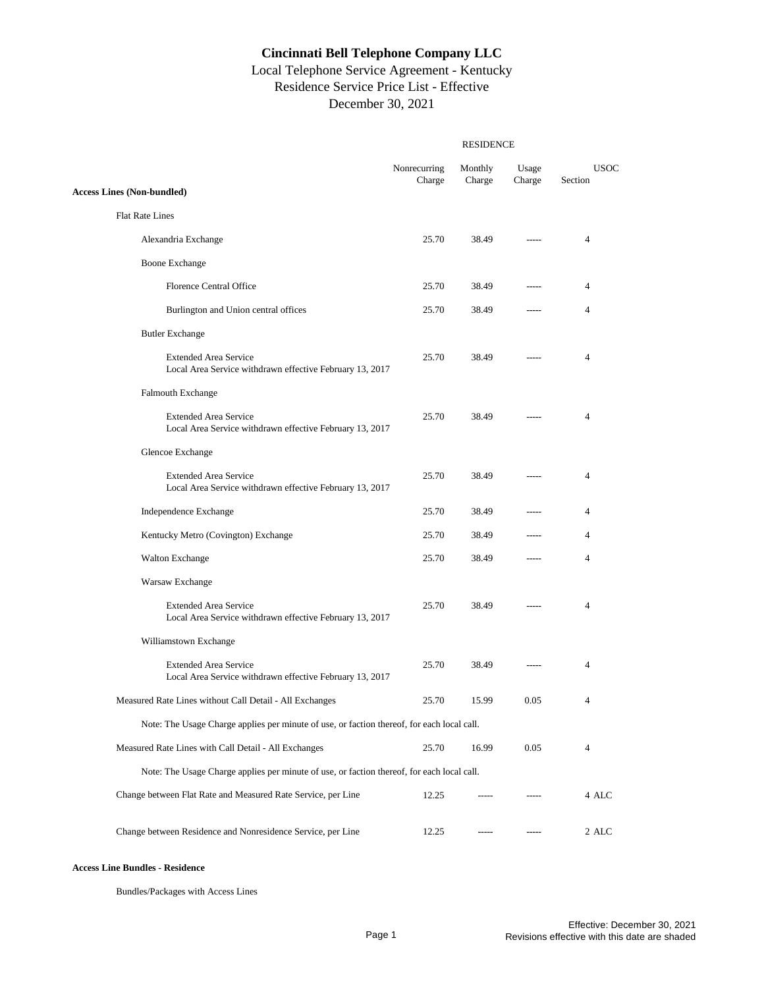# Local Telephone Service Agreement - Kentucky Residence Service Price List - Effective December 30, 2021

|                                                                                            | Nonrecurring<br>Charge | Monthly<br>Charge | Usage<br>Charge | <b>USOC</b><br>Section |
|--------------------------------------------------------------------------------------------|------------------------|-------------------|-----------------|------------------------|
| <b>Access Lines (Non-bundled)</b>                                                          |                        |                   |                 |                        |
| <b>Flat Rate Lines</b>                                                                     |                        |                   |                 |                        |
| Alexandria Exchange                                                                        | 25.70                  | 38.49             | $- - - - -$     | 4                      |
| Boone Exchange                                                                             |                        |                   |                 |                        |
| <b>Florence Central Office</b>                                                             | 25.70                  | 38.49             |                 | 4                      |
| Burlington and Union central offices                                                       | 25.70                  | 38.49             | $- - - - -$     | 4                      |
| <b>Butler Exchange</b>                                                                     |                        |                   |                 |                        |
| <b>Extended Area Service</b><br>Local Area Service withdrawn effective February 13, 2017   | 25.70                  | 38.49             |                 | 4                      |
| Falmouth Exchange                                                                          |                        |                   |                 |                        |
| <b>Extended Area Service</b><br>Local Area Service withdrawn effective February 13, 2017   | 25.70                  | 38.49             |                 | 4                      |
| Glencoe Exchange                                                                           |                        |                   |                 |                        |
| <b>Extended Area Service</b><br>Local Area Service withdrawn effective February 13, 2017   | 25.70                  | 38.49             |                 | 4                      |
| Independence Exchange                                                                      | 25.70                  | 38.49             |                 | 4                      |
| Kentucky Metro (Covington) Exchange                                                        | 25.70                  | 38.49             | -----           | 4                      |
| <b>Walton Exchange</b>                                                                     | 25.70                  | 38.49             | $--- -$         | 4                      |
| Warsaw Exchange                                                                            |                        |                   |                 |                        |
| <b>Extended Area Service</b><br>Local Area Service withdrawn effective February 13, 2017   | 25.70                  | 38.49             | $- - - - -$     | 4                      |
| Williamstown Exchange                                                                      |                        |                   |                 |                        |
| <b>Extended Area Service</b><br>Local Area Service withdrawn effective February 13, 2017   | 25.70                  | 38.49             |                 | 4                      |
| Measured Rate Lines without Call Detail - All Exchanges                                    | 25.70                  | 15.99             | 0.05            | 4                      |
| Note: The Usage Charge applies per minute of use, or faction thereof, for each local call. |                        |                   |                 |                        |
| Measured Rate Lines with Call Detail - All Exchanges                                       | 25.70                  | 16.99             | 0.05            | 4                      |
| Note: The Usage Charge applies per minute of use, or faction thereof, for each local call. |                        |                   |                 |                        |
| Change between Flat Rate and Measured Rate Service, per Line                               | 12.25                  |                   |                 | 4 ALC                  |
| Change between Residence and Nonresidence Service, per Line                                | 12.25                  |                   |                 | 2 ALC                  |

#### **Access Line Bundles - Residence**

Bundles/Packages with Access Lines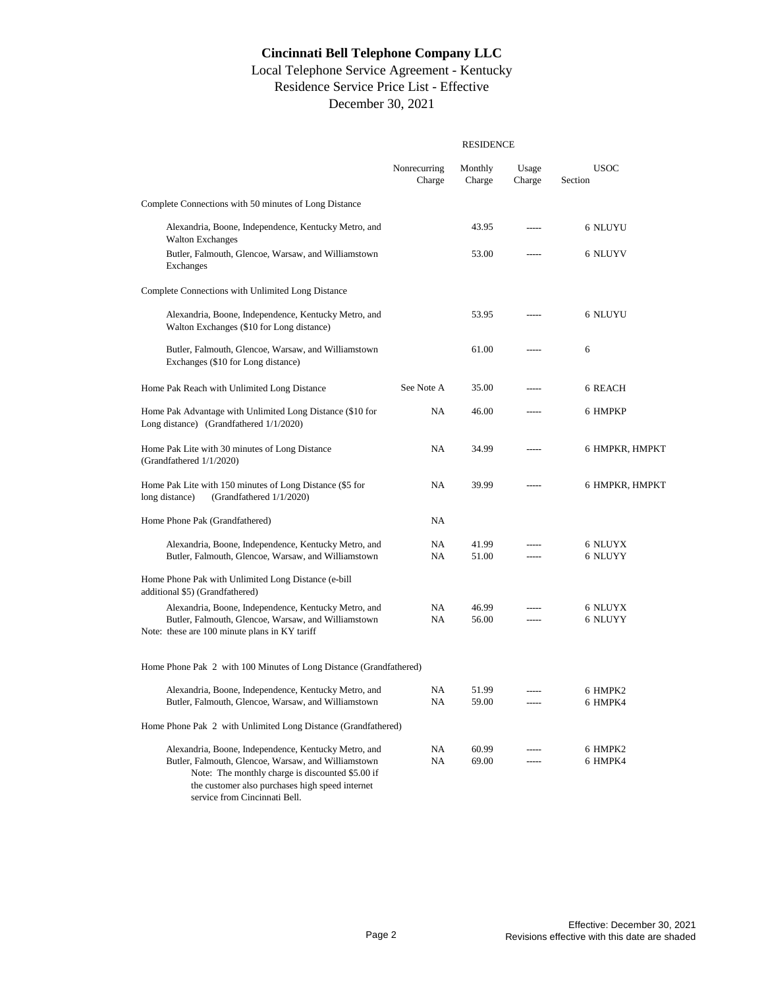# Local Telephone Service Agreement - Kentucky Residence Service Price List - Effective December 30, 2021

|                                                                                                                                                                                                                                                     | <b>RESIDENCE</b>       |                   |                 |                        |  |
|-----------------------------------------------------------------------------------------------------------------------------------------------------------------------------------------------------------------------------------------------------|------------------------|-------------------|-----------------|------------------------|--|
|                                                                                                                                                                                                                                                     | Nonrecurring<br>Charge | Monthly<br>Charge | Usage<br>Charge | <b>USOC</b><br>Section |  |
| Complete Connections with 50 minutes of Long Distance                                                                                                                                                                                               |                        |                   |                 |                        |  |
| Alexandria, Boone, Independence, Kentucky Metro, and<br><b>Walton Exchanges</b>                                                                                                                                                                     |                        | 43.95             |                 | 6 NLUYU                |  |
| Butler, Falmouth, Glencoe, Warsaw, and Williamstown<br>Exchanges                                                                                                                                                                                    |                        | 53.00             |                 | 6 NLUYV                |  |
| Complete Connections with Unlimited Long Distance                                                                                                                                                                                                   |                        |                   |                 |                        |  |
| Alexandria, Boone, Independence, Kentucky Metro, and<br>Walton Exchanges (\$10 for Long distance)                                                                                                                                                   |                        | 53.95             |                 | 6 NLUYU                |  |
| Butler, Falmouth, Glencoe, Warsaw, and Williamstown<br>Exchanges (\$10 for Long distance)                                                                                                                                                           |                        | 61.00             |                 | 6                      |  |
| Home Pak Reach with Unlimited Long Distance                                                                                                                                                                                                         | See Note A             | 35.00             |                 | 6 REACH                |  |
| Home Pak Advantage with Unlimited Long Distance (\$10 for<br>Long distance) (Grandfathered 1/1/2020)                                                                                                                                                | NA                     | 46.00             | -----           | 6 HMPKP                |  |
| Home Pak Lite with 30 minutes of Long Distance<br>(Grandfathered 1/1/2020)                                                                                                                                                                          | NA                     | 34.99             |                 | 6 HMPKR, HMPKT         |  |
| Home Pak Lite with 150 minutes of Long Distance (\$5 for<br>long distance)<br>(Grandfathered 1/1/2020)                                                                                                                                              | NA                     | 39.99             | -----           | 6 HMPKR, HMPKT         |  |
| Home Phone Pak (Grandfathered)                                                                                                                                                                                                                      | NA                     |                   |                 |                        |  |
| Alexandria, Boone, Independence, Kentucky Metro, and<br>Butler, Falmouth, Glencoe, Warsaw, and Williamstown                                                                                                                                         | NA<br>NA               | 41.99<br>51.00    | $---$           | 6 NLUYX<br>6 NLUYY     |  |
| Home Phone Pak with Unlimited Long Distance (e-bill<br>additional \$5) (Grandfathered)                                                                                                                                                              |                        |                   |                 |                        |  |
| Alexandria, Boone, Independence, Kentucky Metro, and<br>Butler, Falmouth, Glencoe, Warsaw, and Williamstown<br>Note: these are 100 minute plans in KY tariff                                                                                        | NA<br>NA               | 46.99<br>56.00    | $- - - - -$     | 6 NLUYX<br>6 NLUYY     |  |
| Home Phone Pak 2 with 100 Minutes of Long Distance (Grandfathered)                                                                                                                                                                                  |                        |                   |                 |                        |  |
| Alexandria, Boone, Independence, Kentucky Metro, and<br>Butler, Falmouth, Glencoe, Warsaw, and Williamstown                                                                                                                                         | NA<br><b>NA</b>        | 51.99<br>59.00    | $- - - - -$     | 6 HMPK2<br>6 HMPK4     |  |
| Home Phone Pak 2 with Unlimited Long Distance (Grandfathered)                                                                                                                                                                                       |                        |                   |                 |                        |  |
| Alexandria, Boone, Independence, Kentucky Metro, and<br>Butler, Falmouth, Glencoe, Warsaw, and Williamstown<br>Note: The monthly charge is discounted \$5.00 if<br>the customer also purchases high speed internet<br>service from Cincinnati Bell. | NA<br>NA               | 60.99<br>69.00    | -----           | 6 HMPK2<br>6 HMPK4     |  |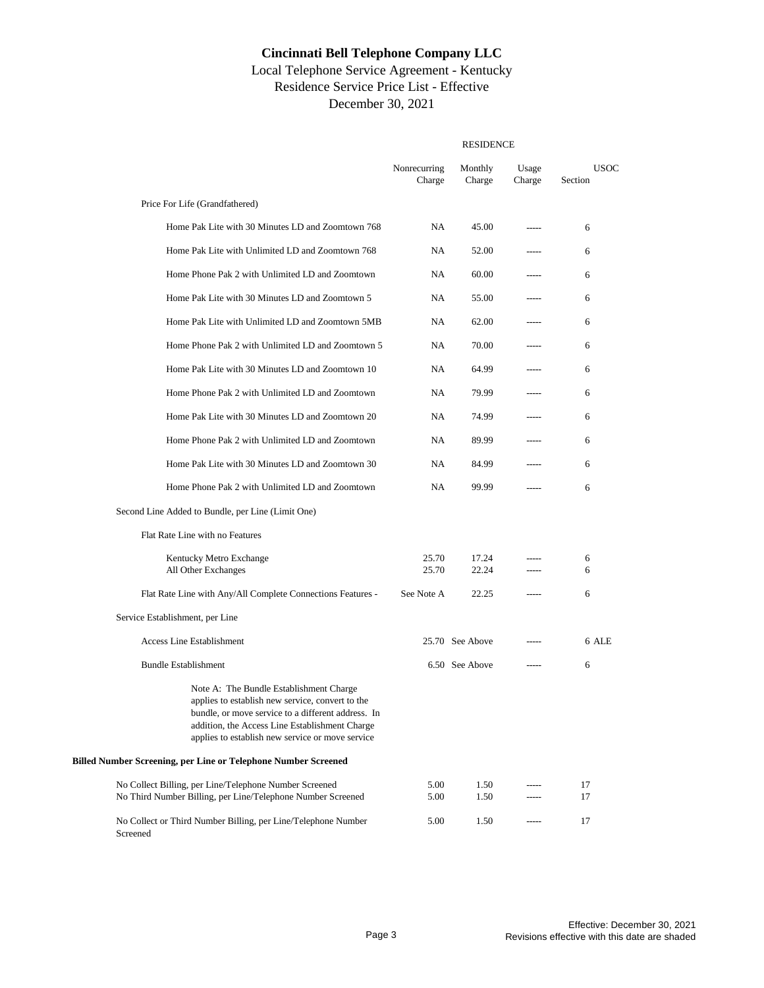### Local Telephone Service Agreement - Kentucky Residence Service Price List - Effective December 30, 2021

|                                                                                                                                                                                                                                                         | <b>RESIDENCE</b>       |                   |                 |                        |  |
|---------------------------------------------------------------------------------------------------------------------------------------------------------------------------------------------------------------------------------------------------------|------------------------|-------------------|-----------------|------------------------|--|
|                                                                                                                                                                                                                                                         | Nonrecurring<br>Charge | Monthly<br>Charge | Usage<br>Charge | <b>USOC</b><br>Section |  |
| Price For Life (Grandfathered)                                                                                                                                                                                                                          |                        |                   |                 |                        |  |
| Home Pak Lite with 30 Minutes LD and Zoomtown 768                                                                                                                                                                                                       | NA                     | 45.00             |                 | 6                      |  |
| Home Pak Lite with Unlimited LD and Zoomtown 768                                                                                                                                                                                                        | NA                     | 52.00             |                 | 6                      |  |
| Home Phone Pak 2 with Unlimited LD and Zoomtown                                                                                                                                                                                                         | NA                     | 60.00             | -----           | 6                      |  |
| Home Pak Lite with 30 Minutes LD and Zoomtown 5                                                                                                                                                                                                         | <b>NA</b>              | 55.00             | $- - - -$       | 6                      |  |
| Home Pak Lite with Unlimited LD and Zoomtown 5MB                                                                                                                                                                                                        | <b>NA</b>              | 62.00             |                 | 6                      |  |
| Home Phone Pak 2 with Unlimited LD and Zoomtown 5                                                                                                                                                                                                       | NA                     | 70.00             | -----           | 6                      |  |
| Home Pak Lite with 30 Minutes LD and Zoomtown 10                                                                                                                                                                                                        | NA                     | 64.99             |                 | 6                      |  |
| Home Phone Pak 2 with Unlimited LD and Zoomtown                                                                                                                                                                                                         | <b>NA</b>              | 79.99             | -----           | 6                      |  |
| Home Pak Lite with 30 Minutes LD and Zoomtown 20                                                                                                                                                                                                        | NA                     | 74.99             | -----           | 6                      |  |
| Home Phone Pak 2 with Unlimited LD and Zoomtown                                                                                                                                                                                                         | NA                     | 89.99             | $- - - -$       | 6                      |  |
| Home Pak Lite with 30 Minutes LD and Zoomtown 30                                                                                                                                                                                                        | <b>NA</b>              | 84.99             | -----           | 6                      |  |
| Home Phone Pak 2 with Unlimited LD and Zoomtown                                                                                                                                                                                                         | NA                     | 99.99             | $---$           | 6                      |  |
| Second Line Added to Bundle, per Line (Limit One)                                                                                                                                                                                                       |                        |                   |                 |                        |  |
| Flat Rate Line with no Features                                                                                                                                                                                                                         |                        |                   |                 |                        |  |
| Kentucky Metro Exchange<br>All Other Exchanges                                                                                                                                                                                                          | 25.70<br>25.70         | 17.24<br>22.24    | $---$           | 6<br>6                 |  |
| Flat Rate Line with Any/All Complete Connections Features -                                                                                                                                                                                             | See Note A             | 22.25             | $- - - -$       | 6                      |  |
| Service Establishment, per Line                                                                                                                                                                                                                         |                        |                   |                 |                        |  |
| Access Line Establishment                                                                                                                                                                                                                               |                        | 25.70 See Above   |                 | 6 ALE                  |  |
| <b>Bundle Establishment</b>                                                                                                                                                                                                                             |                        | 6.50 See Above    | $---$           | 6                      |  |
| Note A: The Bundle Establishment Charge<br>applies to establish new service, convert to the<br>bundle, or move service to a different address. In<br>addition, the Access Line Establishment Charge<br>applies to establish new service or move service |                        |                   |                 |                        |  |
| <b>Billed Number Screening, per Line or Telephone Number Screened</b>                                                                                                                                                                                   |                        |                   |                 |                        |  |
| No Collect Billing, per Line/Telephone Number Screened<br>No Third Number Billing, per Line/Telephone Number Screened                                                                                                                                   | 5.00<br>5.00           | 1.50<br>1.50      |                 | 17<br>17               |  |
| No Collect or Third Number Billing, per Line/Telephone Number<br>Screened                                                                                                                                                                               | 5.00                   | 1.50              |                 | 17                     |  |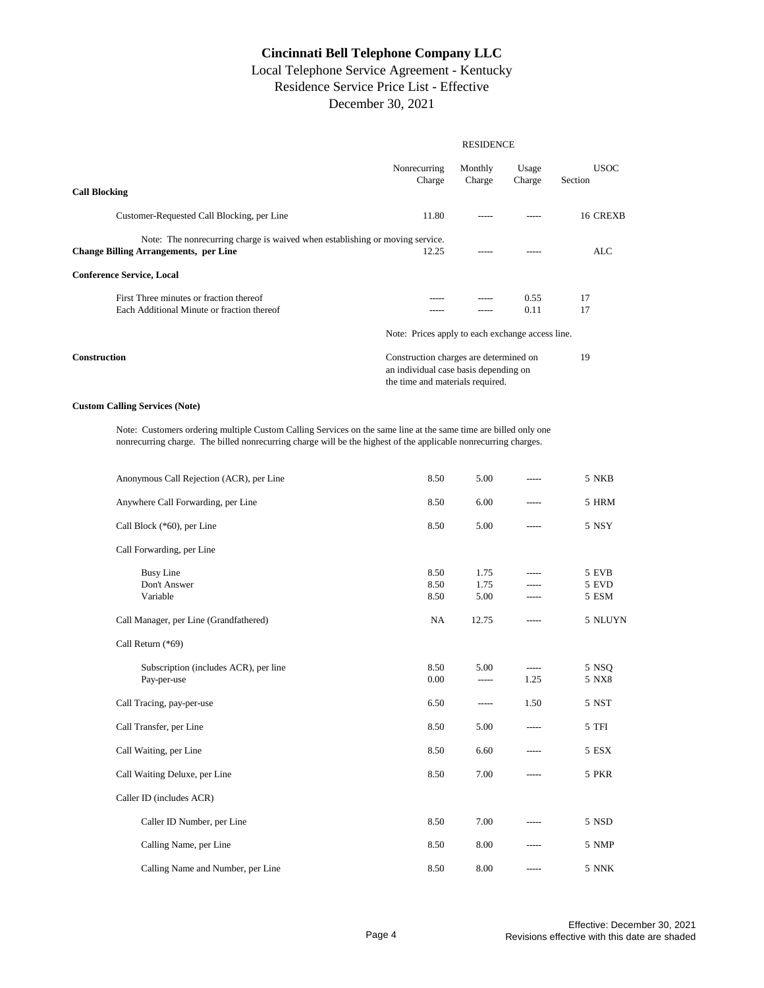#### Local Telephone Service Agreement - Kentucky Residence Service Price List - Effective December 30, 2021

|                                                                                                                              | <b>RESIDENCE</b>                                                                                                    |                   |                 |                        |  |
|------------------------------------------------------------------------------------------------------------------------------|---------------------------------------------------------------------------------------------------------------------|-------------------|-----------------|------------------------|--|
| <b>Call Blocking</b>                                                                                                         | Nonrecurring<br>Charge                                                                                              | Monthly<br>Charge | Usage<br>Charge | <b>USOC</b><br>Section |  |
| Customer-Requested Call Blocking, per Line                                                                                   | 11.80                                                                                                               |                   |                 | 16 CREXB               |  |
| Note: The nonrecurring charge is waived when establishing or moving service.<br><b>Change Billing Arrangements, per Line</b> | 12.25                                                                                                               |                   |                 | ALC                    |  |
| <b>Conference Service, Local</b>                                                                                             |                                                                                                                     |                   |                 |                        |  |
| First Three minutes or fraction thereof<br>Each Additional Minute or fraction thereof                                        |                                                                                                                     |                   | 0.55<br>0.11    | 17<br>17               |  |
|                                                                                                                              | Note: Prices apply to each exchange access line.                                                                    |                   |                 |                        |  |
| <b>Construction</b>                                                                                                          | Construction charges are determined on<br>an individual case basis depending on<br>the time and materials required. |                   |                 | 19                     |  |

#### **Custom Calling Services (Note)**

Note: Customers ordering multiple Custom Calling Services on the same line at the same time are billed only one nonrecurring charge. The billed nonrecurring charge will be the highest of the applicable nonrecurring charges.

| Anonymous Call Rejection (ACR), per Line             | 8.50                 | 5.00                 |                     | 5 NKB                   |
|------------------------------------------------------|----------------------|----------------------|---------------------|-------------------------|
| Anywhere Call Forwarding, per Line                   | 8.50                 | 6.00                 |                     | 5 HRM                   |
| Call Block (*60), per Line                           | 8.50                 | 5.00                 | ------              | 5 NSY                   |
| Call Forwarding, per Line                            |                      |                      |                     |                         |
| <b>Busy Line</b><br>Don't Answer<br>Variable         | 8.50<br>8.50<br>8.50 | 1.75<br>1.75<br>5.00 |                     | 5 EVB<br>5 EVD<br>5 ESM |
| Call Manager, per Line (Grandfathered)               | NA                   | 12.75                |                     | 5 NLUYN                 |
| Call Return (*69)                                    |                      |                      |                     |                         |
| Subscription (includes ACR), per line<br>Pay-per-use | 8.50<br>0.00         | 5.00<br>-----        | $- - - - -$<br>1.25 | 5 NSQ<br>5 NX8          |
| Call Tracing, pay-per-use                            | 6.50                 |                      | 1.50                | 5 NST                   |
| Call Transfer, per Line                              | 8.50                 | 5.00                 | -----               | 5 TFI                   |
| Call Waiting, per Line                               | 8.50                 | 6.60                 |                     | 5 ESX                   |
| Call Waiting Deluxe, per Line                        | 8.50                 | 7.00                 | ------              | 5 PKR                   |
| Caller ID (includes ACR)                             |                      |                      |                     |                         |
| Caller ID Number, per Line                           | 8.50                 | 7.00                 |                     | 5 NSD                   |
| Calling Name, per Line                               | 8.50                 | 8.00                 |                     | 5 NMP                   |
| Calling Name and Number, per Line                    | 8.50                 | 8.00                 |                     | 5 NNK                   |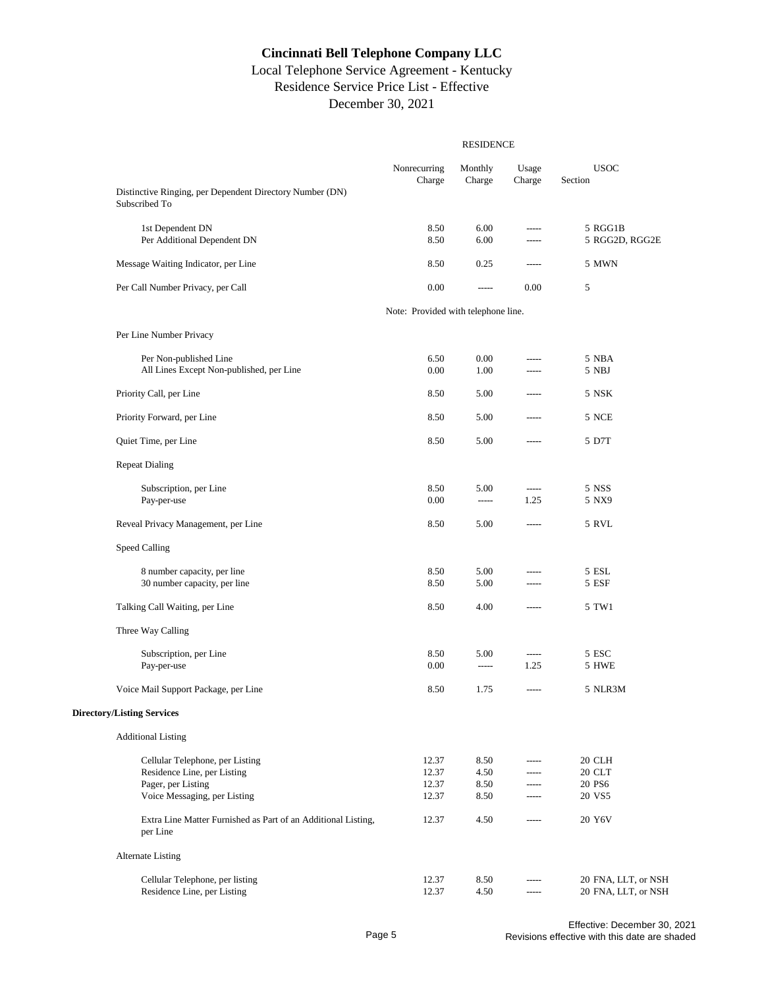# Local Telephone Service Agreement - Kentucky Residence Service Price List - Effective December 30, 2021

|                                                                           | <b>RESIDENCE</b>                    |                          |                          |                           |
|---------------------------------------------------------------------------|-------------------------------------|--------------------------|--------------------------|---------------------------|
|                                                                           | Nonrecurring<br>Charge              | Monthly<br>Charge        | Usage<br>Charge          | <b>USOC</b><br>Section    |
| Distinctive Ringing, per Dependent Directory Number (DN)<br>Subscribed To |                                     |                          |                          |                           |
| 1st Dependent DN<br>Per Additional Dependent DN                           | 8.50<br>8.50                        | 6.00<br>6.00             | $-$ ----<br>-----        | 5 RGG1B<br>5 RGG2D, RGG2E |
| Message Waiting Indicator, per Line                                       | 8.50                                | 0.25                     | -----                    | 5 MWN                     |
| Per Call Number Privacy, per Call                                         | 0.00                                | $\overline{\phantom{a}}$ | 0.00                     | 5                         |
|                                                                           | Note: Provided with telephone line. |                          |                          |                           |
| Per Line Number Privacy                                                   |                                     |                          |                          |                           |
| Per Non-published Line                                                    | 6.50                                | 0.00                     |                          | 5 NBA                     |
| All Lines Except Non-published, per Line                                  | 0.00                                | 1.00                     | -----                    | 5 NBJ                     |
| Priority Call, per Line                                                   | 8.50                                | 5.00                     | -----                    | 5 NSK                     |
| Priority Forward, per Line                                                | 8.50                                | 5.00                     | -----                    | 5 NCE                     |
| Quiet Time, per Line                                                      | 8.50                                | 5.00                     | -----                    | 5 D7T                     |
| <b>Repeat Dialing</b>                                                     |                                     |                          |                          |                           |
| Subscription, per Line                                                    | 8.50                                | 5.00                     | -----                    | 5 NSS                     |
| Pay-per-use                                                               | 0.00                                | $1 - 1 - 1 - 1 = 1$      | 1.25                     | 5 NX9                     |
| Reveal Privacy Management, per Line                                       | 8.50                                | 5.00                     | -----                    | 5 RVL                     |
| Speed Calling                                                             |                                     |                          |                          |                           |
| 8 number capacity, per line                                               | 8.50                                | 5.00                     | -----                    | 5 ESL                     |
| 30 number capacity, per line                                              | 8.50                                | 5.00                     | -----                    | 5 ESF                     |
| Talking Call Waiting, per Line                                            | 8.50                                | 4.00                     | -----                    | 5 TW1                     |
| Three Way Calling                                                         |                                     |                          |                          |                           |
| Subscription, per Line                                                    | 8.50                                | 5.00                     | $\overline{\phantom{a}}$ | 5 ESC                     |
| Pay-per-use                                                               | 0.00                                | $\overline{\phantom{a}}$ | 1.25                     | 5 HWE                     |
| Voice Mail Support Package, per Line                                      | 8.50                                | 1.75                     | ------                   | 5 NLR3M                   |
| <b>Directory/Listing Services</b>                                         |                                     |                          |                          |                           |
| <b>Additional Listing</b>                                                 |                                     |                          |                          |                           |
| Cellular Telephone, per Listing                                           | 12.37                               | 8.50                     |                          | 20 CLH                    |
| Residence Line, per Listing                                               | 12.37                               | 4.50                     | -----                    | 20 CLT                    |
| Pager, per Listing<br>Voice Messaging, per Listing                        | 12.37<br>12.37                      | 8.50<br>8.50             | -----                    | 20 PS6<br>20 VS5          |
| Extra Line Matter Furnished as Part of an Additional Listing,<br>per Line | 12.37                               | 4.50                     |                          | 20 Y6V                    |
| <b>Alternate Listing</b>                                                  |                                     |                          |                          |                           |
| Cellular Telephone, per listing                                           | 12.37                               | 8.50                     | -----                    | 20 FNA, LLT, or NSH       |
| Residence Line, per Listing                                               | 12.37                               | 4.50                     | -----                    | 20 FNA, LLT, or NSH       |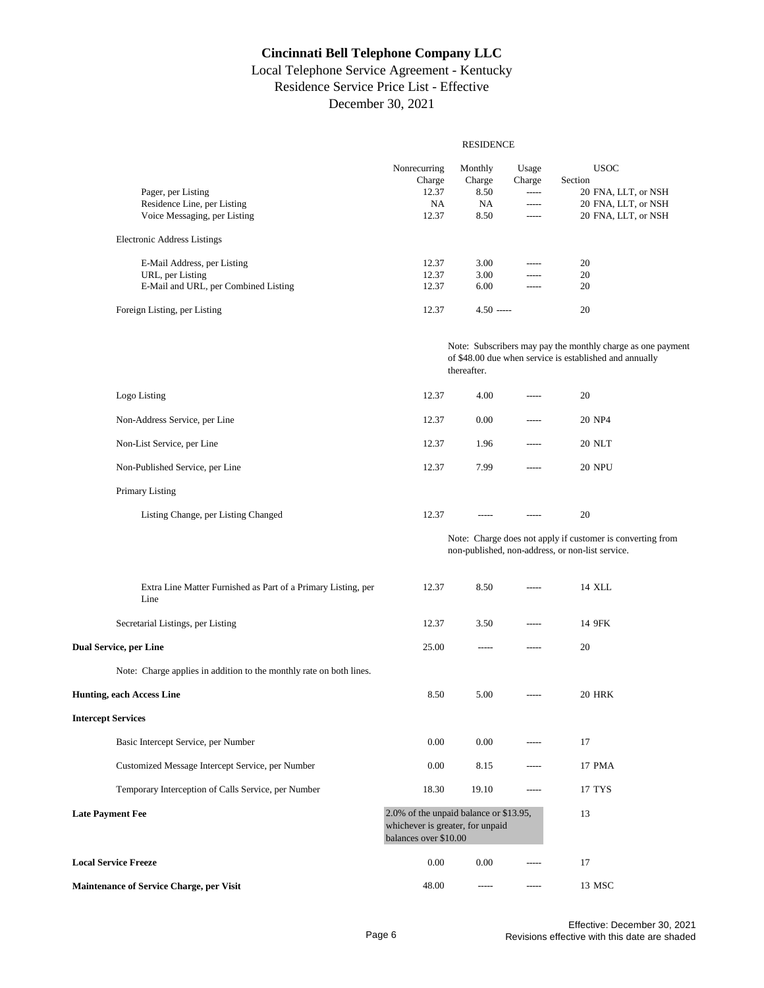# Local Telephone Service Agreement - Kentucky Residence Service Price List - Effective December 30, 2021

#### RESIDENCE

|                                                                       | Nonrecurring                                                                                        | Monthly      | Usage       | <b>USOC</b>                                                                                                            |
|-----------------------------------------------------------------------|-----------------------------------------------------------------------------------------------------|--------------|-------------|------------------------------------------------------------------------------------------------------------------------|
|                                                                       | Charge                                                                                              | Charge       | Charge      | Section                                                                                                                |
| Pager, per Listing                                                    | 12.37                                                                                               | 8.50         | -----       | 20 FNA, LLT, or NSH                                                                                                    |
| Residence Line, per Listing                                           | <b>NA</b>                                                                                           | NA           | $\cdots$    | 20 FNA, LLT, or NSH                                                                                                    |
| Voice Messaging, per Listing                                          | 12.37                                                                                               | 8.50         | -----       | 20 FNA, LLT, or NSH                                                                                                    |
| <b>Electronic Address Listings</b>                                    |                                                                                                     |              |             |                                                                                                                        |
| E-Mail Address, per Listing                                           | 12.37                                                                                               | 3.00         | $\cdots$    | 20                                                                                                                     |
| URL, per Listing                                                      | 12.37                                                                                               | 3.00         | $- - - - -$ | 20                                                                                                                     |
| E-Mail and URL, per Combined Listing                                  | 12.37                                                                                               | 6.00         | -----       | 20                                                                                                                     |
| Foreign Listing, per Listing                                          | 12.37                                                                                               | $4.50$ ----- |             | 20                                                                                                                     |
|                                                                       |                                                                                                     | thereafter.  |             | Note: Subscribers may pay the monthly charge as one payment<br>of \$48.00 due when service is established and annually |
| Logo Listing                                                          | 12.37                                                                                               | 4.00         | $\cdots$    | 20                                                                                                                     |
| Non-Address Service, per Line                                         | 12.37                                                                                               | 0.00         | -----       | 20 NP4                                                                                                                 |
| Non-List Service, per Line                                            | 12.37                                                                                               | 1.96         | -----       | <b>20 NLT</b>                                                                                                          |
| Non-Published Service, per Line                                       | 12.37                                                                                               | 7.99         | $---$       | <b>20 NPU</b>                                                                                                          |
| Primary Listing                                                       |                                                                                                     |              |             |                                                                                                                        |
| Listing Change, per Listing Changed                                   | 12.37                                                                                               | $- - - - -$  | $---$       | 20                                                                                                                     |
|                                                                       |                                                                                                     |              |             | Note: Charge does not apply if customer is converting from<br>non-published, non-address, or non-list service.         |
| Extra Line Matter Furnished as Part of a Primary Listing, per<br>Line | 12.37                                                                                               | 8.50         | -----       | 14 XLL                                                                                                                 |
| Secretarial Listings, per Listing                                     | 12.37                                                                                               | 3.50         | -----       | 14 9FK                                                                                                                 |
| <b>Dual Service, per Line</b>                                         | 25.00                                                                                               | -----        | -----       | 20                                                                                                                     |
| Note: Charge applies in addition to the monthly rate on both lines.   |                                                                                                     |              |             |                                                                                                                        |
| <b>Hunting, each Access Line</b>                                      | 8.50                                                                                                | 5.00         | $- - - - -$ | <b>20 HRK</b>                                                                                                          |
| <b>Intercept Services</b>                                             |                                                                                                     |              |             |                                                                                                                        |
| Basic Intercept Service, per Number                                   | 0.00                                                                                                | 0.00         |             | 17                                                                                                                     |
| Customized Message Intercept Service, per Number                      | 0.00                                                                                                | 8.15         | -----       | 17 PMA                                                                                                                 |
| Temporary Interception of Calls Service, per Number                   | 18.30                                                                                               | 19.10        | -----       | 17 TYS                                                                                                                 |
| <b>Late Payment Fee</b>                                               | 2.0% of the unpaid balance or \$13.95,<br>whichever is greater, for unpaid<br>balances over \$10.00 |              |             | 13                                                                                                                     |
| <b>Local Service Freeze</b>                                           | 0.00                                                                                                | 0.00         | $- - - - -$ | 17                                                                                                                     |
| Maintenance of Service Charge, per Visit                              | 48.00                                                                                               | $-----1$     | $- - - - -$ | 13 MSC                                                                                                                 |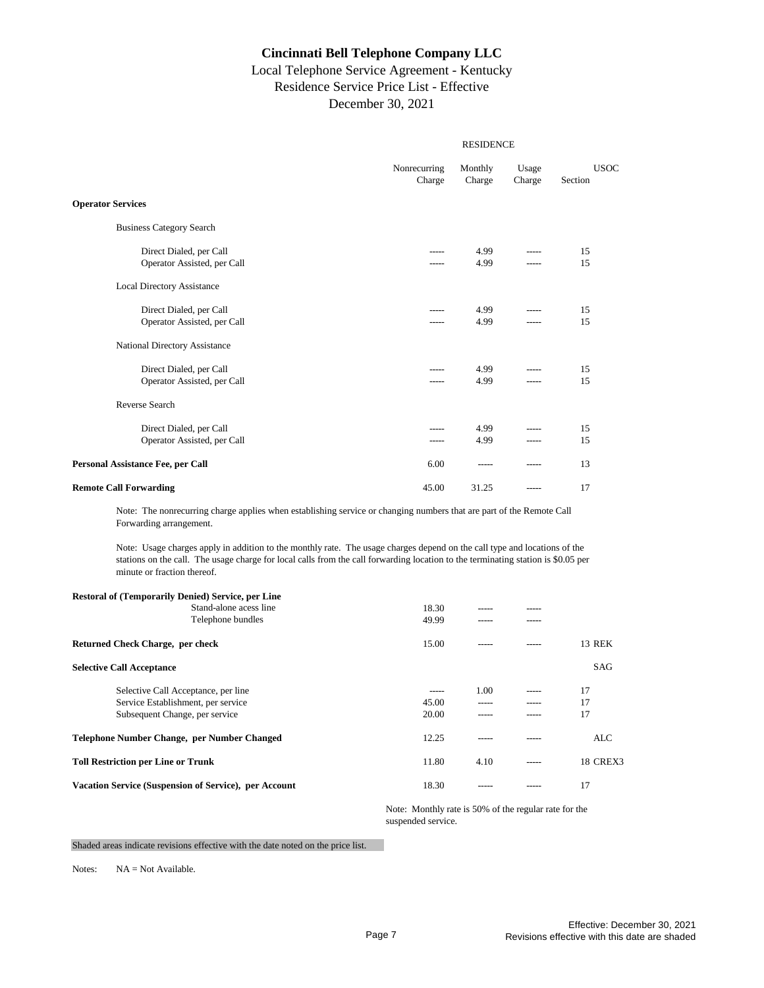#### Local Telephone Service Agreement - Kentucky Residence Service Price List - Effective December 30, 2021

| <b>RESIDENCE</b>       |                   |                 |                        |  |  |
|------------------------|-------------------|-----------------|------------------------|--|--|
| Nonrecurring<br>Charge | Monthly<br>Charge | Usage<br>Charge | <b>USOC</b><br>Section |  |  |
|                        |                   |                 |                        |  |  |
|                        |                   |                 |                        |  |  |
| -----                  | 4.99<br>4.99      | $- - - - -$     | 15<br>15               |  |  |
|                        |                   |                 |                        |  |  |
|                        | 4.99<br>4.99      | -----           | 15<br>15               |  |  |
|                        |                   |                 |                        |  |  |
|                        | 4.99<br>4.99      | $- - - - -$     | 15<br>15               |  |  |
|                        |                   |                 |                        |  |  |
|                        | 4.99<br>4.99      | -----           | 15<br>15               |  |  |
| 6.00                   | -----             |                 | 13                     |  |  |
| 45.00                  | 31.25             | $- - - - -$     | 17                     |  |  |
|                        |                   |                 |                        |  |  |

Note: The nonrecurring charge applies when establishing service or changing numbers that are part of the Remote Call Forwarding arrangement.

Note: Usage charges apply in addition to the monthly rate. The usage charges depend on the call type and locations of the stations on the call. The usage charge for local calls from the call forwarding location to the terminating station is \$0.05 per minute or fraction thereof.

| <b>Restoral of (Temporarily Denied) Service, per Line</b> |       |       |       |                 |
|-----------------------------------------------------------|-------|-------|-------|-----------------|
| Stand-alone acess line                                    | 18.30 | ----- |       |                 |
| Telephone bundles                                         | 49.99 | ----- |       |                 |
| Returned Check Charge, per check                          | 15.00 | ----- |       | 13 REK          |
| <b>Selective Call Acceptance</b>                          |       |       |       | SAG             |
| Selective Call Acceptance, per line                       | ----- | 1.00  | ----- | 17              |
| Service Establishment, per service                        | 45.00 |       |       | 17              |
| Subsequent Change, per service                            | 20.00 | ----- |       | 17              |
| Telephone Number Change, per Number Changed               | 12.25 | ----  |       | ALC             |
| <b>Toll Restriction per Line or Trunk</b>                 | 11.80 | 4.10  | ----- | <b>18 CREX3</b> |
| Vacation Service (Suspension of Service), per Account     | 18.30 |       |       | 17              |

Note: Monthly rate is 50% of the regular rate for the suspended service.

Shaded areas indicate revisions effective with the date noted on the price list.

Notes: NA = Not Available.